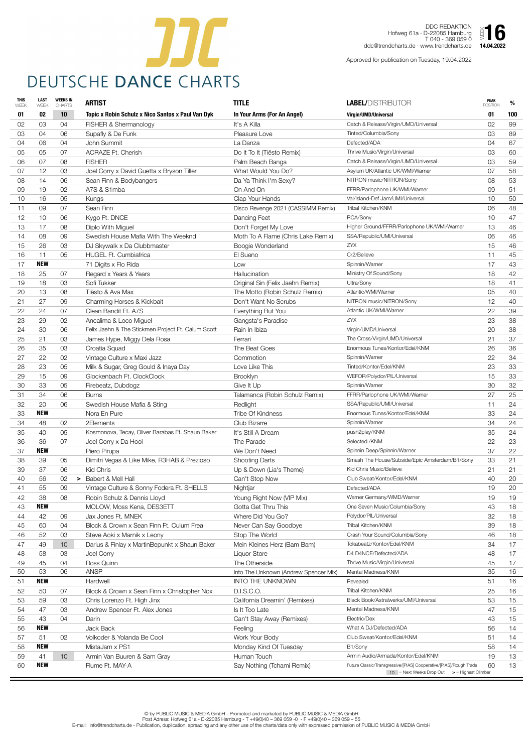

DDC REDAKTION Hofweg 61a · D-22085 Hamburg T 040 - 369 059 0 ddc@trendcharts.de · www.trendcharts.de  $\sum_{14.04.2022}$ 

| <b>THIS</b><br>WEEK | <b>LAST</b><br>WEEK | <b>WEEKS IN</b><br><b>CHARTS</b> | <b>ARTIST</b>                                      | <b>TITLE</b>                          | <b>LABEL/DISTRIBUTOR</b>                                                                                                         | <b>PEAK</b><br><b>POSITION</b> | %   |
|---------------------|---------------------|----------------------------------|----------------------------------------------------|---------------------------------------|----------------------------------------------------------------------------------------------------------------------------------|--------------------------------|-----|
| 01                  | 02                  | 10                               | Topic x Robin Schulz x Nico Santos x Paul Van Dyk  | In Your Arms (For An Angel)           | Virgin/UMD/Universal                                                                                                             | 01                             | 100 |
| 02                  | 03                  | 04                               | FISHER & Shermanology                              | It's A Killa                          | Catch & Release/Virgin/UMD/Universal                                                                                             | 02                             | 99  |
| 03                  | 04                  | 06                               | Supafly & De Funk                                  | Pleasure Love                         | Tinted/Columbia/Sony                                                                                                             | 03                             | 89  |
| 04                  | 06                  | 04                               | John Summit                                        | La Danza                              | Defected/ADA                                                                                                                     | 04                             | 67  |
| 05                  | 05                  | 07                               | <b>ACRAZE Ft. Cherish</b>                          | Do It To It (Tiësto Remix)            | Thrive Music/Virgin/Universal                                                                                                    | 03                             | 60  |
| 06                  | 07                  | 08                               | <b>FISHER</b>                                      | Palm Beach Banga                      | Catch & Release/Virgin/UMD/Universal                                                                                             | 03                             | 59  |
| 07                  | 12                  | 03                               | Joel Corry x David Guetta x Bryson Tiller          | What Would You Do?                    | Asylum UK/Atlantic UK/WMI/Warner                                                                                                 | 07                             | 58  |
| 08                  | 14                  | 06                               | Sean Finn & Bodybangers                            | Da Ya Think I'm Sexy?                 | NITRON music/NITRON/Sony                                                                                                         | 08                             | 53  |
| 09                  | 19                  | 02                               | A7S & S1mba                                        | On And On                             | FFRR/Parlophone UK/WMI/Warner                                                                                                    | 09                             | 51  |
| 10                  | 16                  | 05                               | Kungs                                              | Clap Your Hands                       | Val/Island-Def Jam/UMI/Universal                                                                                                 | 10                             | 50  |
| 11                  | 09                  | 07                               | Sean Finn                                          | Disco Revenge 2021 (CASSIMM Remix)    | Tribal Kitchen/KNM                                                                                                               | 06                             | 48  |
| 12                  | 10                  | 06                               | Kygo Ft. DNCE                                      | Dancing Feet                          | RCA/Sony                                                                                                                         | 10                             | 47  |
| 13                  | 17                  | 08                               | Diplo With Miguel                                  | Don't Forget My Love                  | Higher Ground/FFRR/Parlophone UK/WMI/Warner                                                                                      | 13                             | 46  |
| 14                  | 08                  | 09                               | Swedish House Mafia With The Weeknd                | Moth To A Flame (Chris Lake Remix)    | SSA/Republic/UMI/Universal                                                                                                       | 06                             | 46  |
| 15                  | 26                  | 03                               | DJ Skywalk x Da Clubbmaster                        | Boogie Wonderland                     | ZYX                                                                                                                              | 15                             | 46  |
| 16                  | 11                  | 05                               | <b>HUGEL Ft. Cumbiafrica</b>                       | El Sueno                              | Cr2/Believe                                                                                                                      | 11                             | 45  |
| 17                  | <b>NEW</b>          |                                  | 71 Digits x Flo Rida                               | Low                                   | Spinnin/Warner                                                                                                                   | 17                             | 43  |
| 18                  | 25                  | 07                               | Regard x Years & Years                             | Hallucination                         | Ministry Of Sound/Sony                                                                                                           | 18                             | 42  |
| 19                  | 18                  | 03                               | Sofi Tukker                                        | Original Sin (Felix Jaehn Remix)      | Ultra/Sony                                                                                                                       | 18                             | 41  |
| 20                  | 13                  | 08                               | Tiësto & Ava Max                                   | The Motto (Robin Schulz Remix)        | Atlantic/WMI/Warner                                                                                                              | 05                             | 40  |
| 21                  | 27                  | 09                               | Charming Horses & Kickbait                         | Don't Want No Scrubs                  | NITRON music/NITRON/Sony                                                                                                         | 12                             | 40  |
| 22                  | 24                  | 07                               | Clean Bandit Ft. A7S                               | Everything But You                    | Atlantic UK/WMI/Warner                                                                                                           | 22                             | 39  |
| 23                  | 29                  | 02                               | Ancalima & Loco Miguel                             | Gangsta's Paradise                    | <b>ZYX</b>                                                                                                                       | 23                             | 38  |
| 24                  | 30                  | 06                               | Felix Jaehn & The Stickmen Project Ft. Calum Scott | Rain In Ibiza                         | Virgin/UMD/Universal                                                                                                             | 20                             | 38  |
| 25                  | 21                  | 03                               | James Hype, Miggy Dela Rosa                        | Ferrari                               | The Cross/Virgin/UMD/Universal                                                                                                   | 21                             | 37  |
| 26                  | 35                  | 03                               | Croatia Squad                                      | The Beat Goes                         | Enormous Tunes/Kontor/Edel/KNM                                                                                                   | 26                             | 36  |
| 27                  | 22                  | 02                               | Vintage Culture x Maxi Jazz                        | Commotion                             | Spinnin/Warner                                                                                                                   | 22                             | 34  |
| 28                  | 23                  | 05                               | Milk & Sugar, Greg Gould & Inaya Day               | Love Like This                        | Tinted/Kontor/Edel/KNM                                                                                                           | 23                             | 33  |
| 29                  | 15                  | 09                               | Glockenbach Ft. ClockClock                         | <b>Brooklyn</b>                       | WEFOR/Polydor/PIL/Universal                                                                                                      | 15                             | 33  |
| 30                  | 33                  | 05                               | Firebeatz, Dubdogz                                 | Give It Up                            | Spinnin/Warner                                                                                                                   | 30                             | 32  |
| 31                  | 34                  | 06                               | <b>Burns</b>                                       | Talamanca (Robin Schulz Remix)        | FFRR/Parlophone UK/WMI/Warner                                                                                                    | 27                             | 25  |
| 32                  | 20                  | 06                               | Swedish House Mafia & Sting                        | Redlight                              | SSA/Republic/UMI/Universal                                                                                                       | 11                             | 24  |
| 33                  | <b>NEW</b>          |                                  | Nora En Pure                                       | <b>Tribe Of Kindness</b>              | Enormous Tunes/Kontor/Edel/KNM                                                                                                   | 33                             | 24  |
| 34                  | 48                  | 02                               | 2Elements                                          | <b>Club Bizarre</b>                   | Spinnin/Warner                                                                                                                   | 34                             | 24  |
| 35                  | 40                  | 05                               | Kosmonova, Tecay, Oliver Barabas Ft. Shaun Baker   | It's Still A Dream                    | push2play/KNM                                                                                                                    | 35                             | 24  |
| 36                  | 36                  | 07                               | Joel Corry x Da Hool                               | The Parade                            | Selected./KNM                                                                                                                    | 22                             | 23  |
| 37                  | <b>NEW</b>          |                                  | Piero Pirupa                                       | We Don't Need                         | Spinnin Deep/Spinnin/Warner                                                                                                      | 37                             | 22  |
| 38                  | 39                  | 05                               | Dimitri Vegas & Like Mike, R3HAB & Prezioso        | <b>Shooting Darts</b>                 | Smash The House/Subside/Epic Amsterdam/B1/Sony                                                                                   | 33                             | 21  |
| 39                  | 37                  | 06                               | Kid Chris                                          | Up & Down (Lia's Theme)               | Kid Chris Music/Believe                                                                                                          | 21                             | 21  |
| 40                  | 56                  | 02<br>➤                          | <b>Babert &amp; Mell Hall</b>                      | Can't Stop Now                        | Club Sweat/Kontor/Edel/KNM                                                                                                       | 40                             | 20  |
| 41                  | 55                  | 09                               | Vintage Culture & Sonny Fodera Ft. SHELLS          | Nightjar                              | Defected/ADA                                                                                                                     | 19                             | 20  |
| 42                  | 38                  | 08                               | Robin Schulz & Dennis Lloyd                        | Young Right Now (VIP Mix)             | Warner Germany/WMD/Warner                                                                                                        | 19                             | 19  |
| 43                  | <b>NEW</b>          |                                  | MOLOW, Moss Kena, DES3ETT                          | Gotta Get Thru This                   | One Seven Music/Columbia/Sony                                                                                                    | 43                             | 18  |
| 44                  | 42                  | 09                               | Jax Jones Ft. MNEK                                 | Where Did You Go?                     | Polydor/PIL/Universal                                                                                                            | 32                             | 18  |
| 45                  | 60                  | 04                               | Block & Crown x Sean Finn Ft. Culum Frea           | Never Can Say Goodbye                 | Tribal Kitchen/KNM                                                                                                               | 39                             | 18  |
| 46                  | 52                  | 03                               | Steve Aoki x Marnik x Leony                        | Stop The World                        | Crash Your Sound/Columbia/Sony                                                                                                   | 46                             | 18  |
| 47                  | 49                  | 10 <sup>°</sup>                  | Darius & Finlay x MartinBepunkt x Shaun Baker      | Mein Kleines Herz (Bam Bam)           | Tokabeatz/Kontor/Edel/KNM                                                                                                        | 34                             | 17  |
| 48                  | 58                  | 03                               | Joel Corry                                         | <b>Liquor Store</b>                   | D4 D4NCE/Defected/ADA                                                                                                            | 48                             | 17  |
| 49                  | 45                  | 04                               | Ross Quinn                                         | The Otherside                         | Thrive Music/Virgin/Universal                                                                                                    | 45                             | 17  |
| 50                  | 53                  | 06                               | <b>ANSP</b>                                        | Into The Unknown (Andrew Spencer Mix) | Mental Madness/KNM                                                                                                               | 35                             | 16  |
| 51                  | <b>NEW</b>          |                                  | Hardwell                                           | <b>INTO THE UNKNOWN</b>               | Revealed                                                                                                                         | 51                             | 16  |
| 52                  | 50                  | 07                               | Block & Crown x Sean Finn x Christopher Nox        | D.I.S.C.O.                            | Tribal Kitchen/KNM                                                                                                               | 25                             | 16  |
| 53                  | 59                  | 03                               | Chris Lorenzo Ft. High Jinx                        | California Dreamin' (Remixes)         | Black Book/Astralwerks/UMI/Universal                                                                                             | 53                             | 15  |
| 54                  | 47                  | 03                               | Andrew Spencer Ft. Alex Jones                      | Is It Too Late                        | Mental Madness/KNM                                                                                                               | 47                             | 15  |
| 55                  | 43                  | 04                               | Darin                                              | Can't Stay Away (Remixes)             | Electric/Dex                                                                                                                     | 43                             | 15  |
| 56                  | <b>NEW</b>          |                                  | Jack Back                                          | Feeling                               | What A DJ/Defected/ADA                                                                                                           | 56                             | 14  |
| 57                  | 51                  | 02                               | Volkoder & Yolanda Be Cool                         | Work Your Body                        | Club Sweat/Kontor/Edel/KNM                                                                                                       | 51                             | 14  |
| 58                  | <b>NEW</b>          |                                  | MistaJam x PS1                                     | Monday Kind Of Tuesday                | B1/Sony                                                                                                                          | 58                             | 14  |
| 59                  | 41                  | 10 <sup>°</sup>                  | Armin Van Buuren & Sam Gray                        | Human Touch                           | Armin Audio/Armada/Kontor/Edel/KNM                                                                                               | 19                             | 13  |
| 60                  | <b>NEW</b>          |                                  | Flume Ft. MAY-A                                    | Say Nothing (Tchami Remix)            | Future Classic/Transgressive/[PIAS] Cooperative/[PIAS]/Rough Trade<br>$10$ = Next Weeks Drop Out $\Rightarrow$ = Highest Climber | 60                             | 13  |

Approved for publication on Tuesday, 19.04.2022